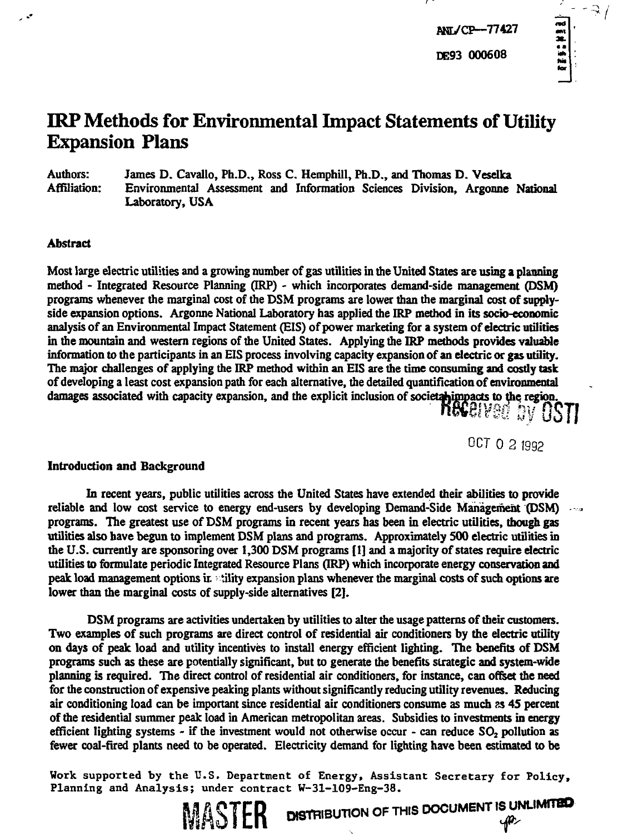# ÷  $-3/$

# **IRP Methods for Environmental Impact Statements of Utility Expansion Plans**

**Authors: James D. Cavallo, Ph.D., Ross C. Hemphill, Ph.D., and Thomas D. Veselka Affiliation: Environmental Assessment and Information Sciences Division, Argonne National Laboratory, USA**

## **Abstract**

**Most large electric utilities and a growing number of gas utilities in the United States are using a planning method - Integrated Resource Planning (IRP) - which incorporates demand-side management (DSM) programs whenever the marginal cost of the DSM programs are lower than the marginal cost of supplyside expansion options. Argonne National Laboratory has applied the IRP method in its socio-economic analysis of an Environmental Impact Statement (EIS) of power marketing for a system of electric utilities in the mountain and western regions of the United States. Applying the IRP methods provides valuable information to the participants in an EIS process involving capacity expansion of an electric or gas utility. The major challenges of applying the IRP method within an EIS are die time consuming and costly task of developing a least cost expansion path for each alternative, the detailed quantification of environmental damages associated with capacity expansion, and the explicit inclusion of societahimpacts to the region**

OCT 0 2 1992

 $\frac{1}{2}$ 

#### **Introduction and Background**

**In recent years, public utilities across the United States have extended their abilities to provide reliable and low cost service to energy end-users by developing Demand-Side Management (DSM) programs. The greatest use of DSM programs in recent years has been in electric utilities, though gas utilities also have begun to implement DSM plans and programs. Approximately 500 electric utilities in the U.S. currently are sponsoring over 1,300 DSM programs [1] and a majority of states require electric utilities to formulate periodic Integrated Resource Plans (IRP) which incorporate energy conservation and peak load management options ir. iility expansion plans whenever the marginal costs of such options are lower than the marginal costs of supply-side alternatives [2].**

**DSM programs are activities undertaken by utilities to alter the usage patterns of their customers. Two examples of such programs are direct control of residential air conditioners by the electric utility on days of peak load and utility incentives to install energy efficient lighting. The benefits of DSM programs such as these are potentially significant, but to generate the benefits strategic and system-wide planning is required. The direct control of residential air conditioners, for instance, can offset the need for the construction of expensive peaking plants without significantly reducing utility revenues. Reducing air conditioning load can be important since residential air conditioners consume as much** *^s* **45 percent of the residential summer peak load in American metropolitan areas. Subsidies to investments in energy efficient lighting systems - if the investment would not otherwise occur - can reduce SO2 pollution as fewer coal-fired plants need to be operated. Electricity demand for lighting have been estimated to be**

**Work supported by the U.S. Department of Energy, Assistant Secretary for Policy, Planning and Analysis; under contract W-31-109-Eng-38.** DISTRIBUTION OF THIS DOCUMENT IS UNLIMITED

**MASTER**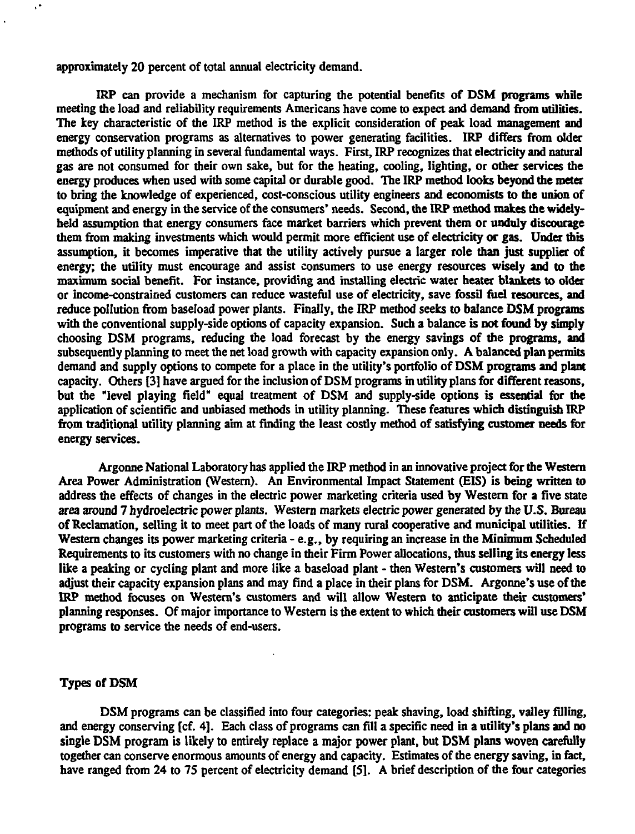**approximately 20 percent of total annual electricity demand.**

 $\epsilon^{\star}$ 

**IRP can provide a mechanism for capturing the potential benefits of DSM programs while meeting the load and reliability requirements Americans have come to expect and demand from utilities. The key characteristic of the IRP method is the explicit consideration of peak load management and energy conservation programs as alternatives to power generating facilities. IRP differs from older methods of utility planning in several fundamental ways. First, IRP recognizes that electricity and natural gas are not consumed for their own sake, but for the heating, cooling, lighting, or other services the energy produces when used with some capital or durable good. The IRP method looks beyond the meter to bring the knowledge of experienced, cost-conscious utility engineers and economists to the union of equipment and energy in the service of the consumers' needs. Second, the IRP method makes the widelyheld assumption that energy consumers face market barriers which prevent them or unduly discourage them from making investments which would permit more efficient use of electricity or gas. Under mis assumption, it becomes imperative that the utility actively pursue a larger role than just supplier of energy; the utility must encourage and assist consumers to use energy resources wisely and to the maximum social benefit. For instance, providing and installing electric water heater blankets to older or income-constrained customers can reduce wasteful use of electricity, save fossil fuel resources, and reduce pollution from baseload power plants. Finally, the IRP method seeks to balance DSM programs with the conventional supply-side options of capacity expansion. Such a balance is not found by simply choosing DSM programs, reducing the load forecast by the energy savings of the programs, and subsequently planning to meet the net load growth with capacity expansion only. A balanced plan permits demand and supply options to compete for a place in the utility's portfolio of DSM programs and plant capacity. Others [3] have argued for the inclusion of DSM programs in utility plans for different reasons, but the "level playing field" equal treatment of DSM and supply-side options is essential for the application of scientific and unbiased methods in utility planning. These features which distinguish IRP from traditional utility planning aim at finding the least costly method of satisfying customer needs for energy services.**

**Argonne National Laboratory has applied the IRP method in an innovative project for the Western Area Power Administration (Western). An Environmental Impact Statement (EIS) is being written to address the effects of changes in the electric power marketing criteria used by Western for a five state area around 7 hydroelectric power plants. Western markets electric power generated by the U.S. Bureau of Reclamation, selling it to meet part of the loads of many rural cooperative and municipal utilities. If Western changes its power marketing criteria - e.g., by requiring an increase in die Minimum Scheduled Requirements to its customers with no change in their Firm Power allocations, thus selling its energy less like a peaking or cycling plant and more like a baseload plant - then Western's customers will need to adjust their capacity expansion plans and may find a place in their plans for DSM. Argonne's use of the IRP method focuses on Western's customers and will allow Western to anticipate their customers' planning responses. Of major importance to Western is the extent to which their customers will use DSM programs to service the needs of end-users.**

### **Types of DSM**

**DSM programs can be classified into four categories: peak shaving, load shifting, valley filling, and energy conserving [cf. 4]. Each class of programs can fill a specific need in a utility's plans and no single DSM program is likely to entirely replace a major power plant, but DSM plans woven carefully together can conserve enormous amounts of energy and capacity. Estimates of the energy saving, in fact, have ranged from 24 to 75 percent of electricity demand [5]. A brief description of die four categories**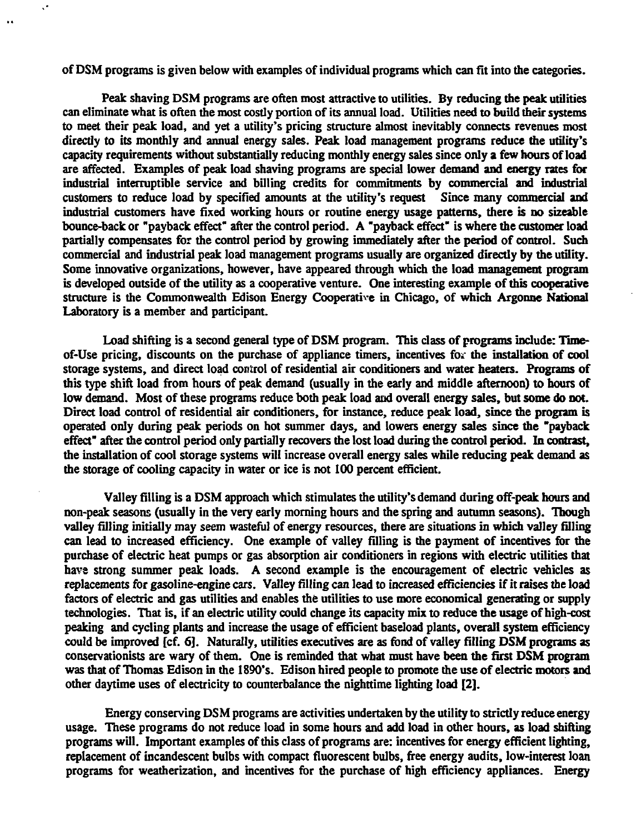**of DSM programs is given below with examples of individual programs which can fit into the categories.**

 $\ddot{\phantom{a}}$ 

**Peak shaving DSM programs are often most attractive to utilities. By reducing the peak utilities can eliminate what is often the most costly portion of its annual load. Utilities need to build their systems to meet their peak load, and yet a utility's pricing structure almost inevitably connects revenues most directly to its monthly and annual energy sales. Peak load management programs reduce the utility's capacity requirements without substantially reducing monthly energy sales since only a few hours of load are affected. Examples of peak load shaving programs are special lower demand and energy rates for industrial interruptible service and billing credits for commitments by commercial and industrial** customers to reduce load by specified amounts at the utility's request **industrial customers have fixed working hours or routine energy usage patterns, there is no sizeable bounce-back or "payback effect" after the control period. A "payback effect" is where the customer load partially compensates for the control period by growing immediately after the period of control. Such commercial and industrial peak load management programs usually are organized directly by the utility. Some innovative organizations, however, have appeared through which the load management program is developed outside of the utility as a cooperative venture. One interesting example of this cooperative structure is the Commonwealth Edison Energy Cooperative in Chicago, of which Argonne National Laboratory is a member and participant.**

**Load shifting is a second general type of DSM program. This class of programs include: Timeof-Use pricing, discounts on the purchase of appliance timers, incentives for the installation of cool storage systems, and direct load control of residential air conditioners and water heaters. Programs of this type shift load from hours of peak demand (usually in the early and middle afternoon) to hours of low demand. Most of these programs reduce both peak load and overall energy sales, but some do not. Direct load control of residential air conditioners, for instance, reduce peak load, since the program is operated only during peak periods on hot summer days, and lowers energy sales since the "payback effect" after the control period only partially recovers the lost load during the control period. In contrast, the installation of cool storage systems will increase overall energy sales while reducing peak demand as the storage of cooling capacity in water or ice is not 100 percent efficient.**

**Valley filling is a DSM approach which stimulates the utility's demand during off-peak hours and non-peak seasons (usually in the very early morning hours and the spring and autumn seasons). Though valley filling initially may seem wasteful of energy resources, there are situations in which valley filling can lead to increased efficiency. One example of valley filling is the payment of incentives for the purchase of electric heat pumps or gas absorption air conditioners in regions with electric utilities that have strong summer peak loads. A second example is the encouragement of electric vehicles as replacements for gasoline-engine cars. Valley filling can lead to increased efficiencies if it raises the load factors of electric and gas utilities and enables the utilities to use more economical generating or supply technologies. That is, if an electric utility could change its capacity mix to reduce the usage of high-cost peaking and cycling plants and increase die usage of efficient baseload plants, overall system efficiency could be unproved [cf. 6]. Naturally, utilities executives are as fond of valley filling DSM programs as conservationists are wary of them. One is reminded that what must have been the first DSM program was that of Thomas Edison in the 1890's. Edison hired people to promote the use of electric motors and other daytime uses of electricity to counterbalance the nighttime lighting load [2].**

**Energy conserving DSM programs are activities undertaken by the utility to strictly reduce energy usage. These programs do not reduce load in some hours and add load in other hours, as load shifting programs will. Important examples of mis class of programs are: incentives for energy efficient lighting, replacement of incandescent bulbs with compact fluorescent bulbs, free energy audits, low-interest loan programs for weatherization, and incentives for the purchase of high efficiency appliances. Energy**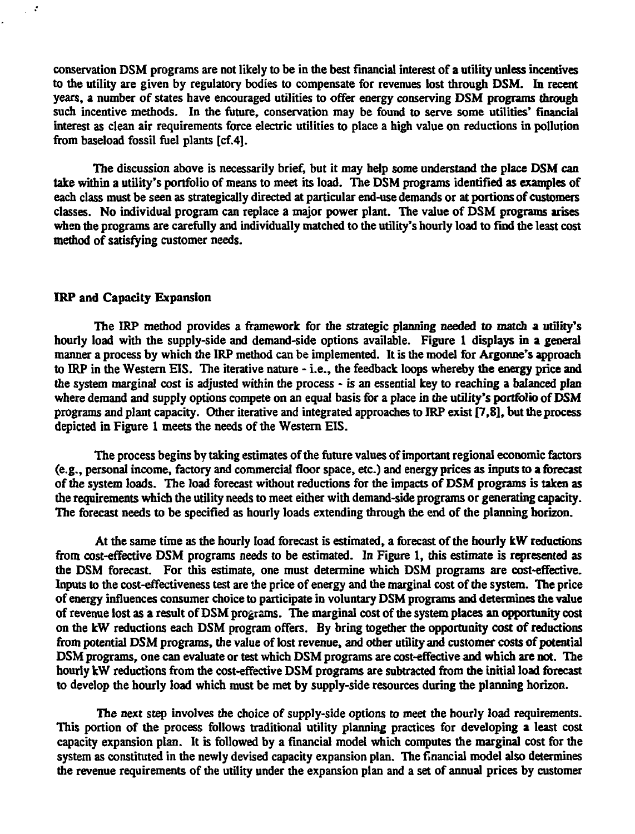**conservation DSM programs are not likely to be in the best financial interest of a utility unless incentives to the utility are given by regulatory bodies to compensate for revenues lost through DSM. In recent years, a number of states have encouraged utilities to offer energy conserving DSM programs through** such incentive methods. In the future, conservation may be found to serve some utilities' financial **interest as clean air requirements force electric utilities to place a high value on reductions in pollution from baseload fossil fuel plants [cf.4].**

**The discussion above is necessarily brief, but it may help some understand the place DSM can take within a utility's portfolio of means to meet its load. The DSM programs identified as examples of each class must be seen as strategically directed at particular end-use demands or at portions of customers classes. No individual program can replace a major power plant. The value of DSM programs arises when the programs are carefully and individually matched to the utility's hourly load to find the least cost method of satisfying customer needs.**

#### **IRP and Capacity Expansion**

 $\mathcal{L}$ 

**The IRP method provides a framework for the strategic planning needed to match a utility's hourly load with the supply-side and demand-side options available. Figure 1 displays in a general manner a process by which the IRP method can be implemented. It is the model for Argonne's approach to IRP in the Western EIS. The iterative nature - i.e., the feedback loops whereby the energy price and the system marginal cost is adjusted within the process - is an essential key to reaching a balanced plan where demand and supply options compete on an equal basis for a place in the utility's portfolio of DSM programs and plant capacity. Other iterative and integrated approaches to IRP exist [7,8], but the process depicted in Figure 1 meets the needs of the Western EIS.**

**The process begins by taking estimates of the future values of important regional economic factors (e.g., personal income, factory and commercial floor space, etc.) and energy prices as inputs to a forecast of the system loads. The load forecast without reductions for the impacts of DSM programs is taken as the requirements which the utility needs to meet either with demand-side programs or generating capacity. The forecast needs to be specified as hourly loads extending through the end of the planning horizon.**

**At the same time as the hourly load forecast is estimated, a forecast of the hourly kW reductions from cost-effective DSM programs needs to be estimated. In Figure 1, this estimate Is represented as the DSM forecast. For this estimate, one must determine which DSM programs are cost-effective. Inputs to the cost-effectiveness test are the price of energy and the marginal cost of the system. The price of energy influences consumer choice to participate in voluntary DSM programs and determines the value of revenue lost as a result of DSM programs. The marginal cost of the system places an opportunity cost on the kW reductions each DSM program offers. By bring together the opportunity cost of reductions from potential DSM programs, the value of lost revenue, and other utility and customer costs of potential DSM programs, one can evaluate or test which DSM programs are cost-effective and which are not. The hourly kW reductions from the cost-effective DSM programs are subtracted from the initial load forecast to develop the hourly load which must be met by supply-side resources during die planning horizon.**

**The next step involves the choice of supply-side options to meet the hourly load requirements. This portion of the process follows traditional utility planning practices for developing a least cost capacity expansion plan. It is followed by a financial model which computes the marginal cost for the system as constituted in the newly devised capacity expansion plan. The financial model also determines the revenue requirements of the utility under the expansion plan and a set of annual prices by customer**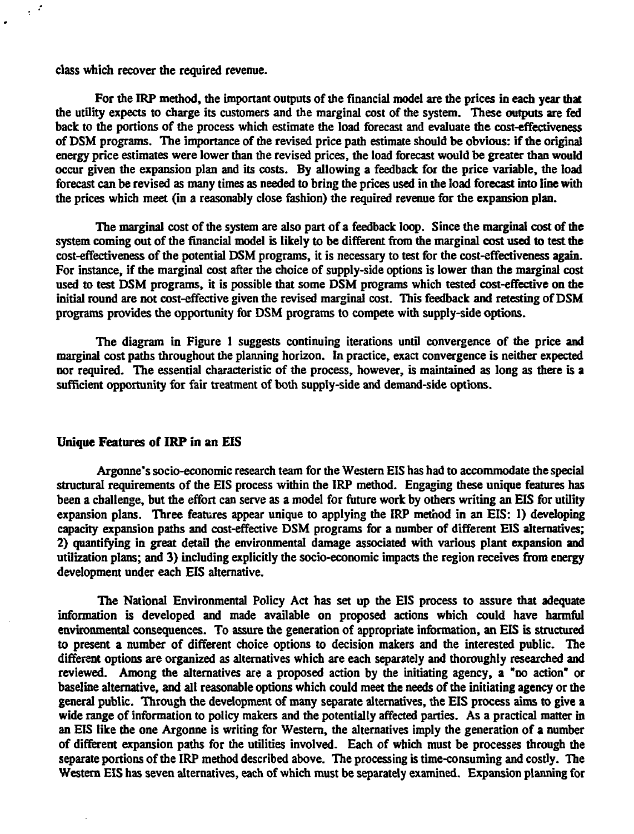class which recover the required revenue.

 $\frac{1}{2}$  ,  $\frac{1}{2}$ 

For the IRP method, the important outputs of the financial model are the prices in each year that the utility expects to charge its customers and the marginal cost of the system. These outputs are fed back to the portions of the process which estimate the load forecast and evaluate the cost-effectiveness of DSM programs. The importance of the revised price path estimate should be obvious: if die original energy price estimates were lower than die revised prices, die load forecast would be greater than would occur given die expansion plan and its costs. By allowing a feedback for die price variable, die load forecast can be revised as many times as needed to bring die prices used in die load forecast into line with die prices which meet (in a reasonably close fashion) die required revenue for die expansion plan.

The marginal cost of the system are also part of a feedback loop. Since the marginal cost of the system coming out of the financial model is likely to be different from the marginal cost used to test the cost-effectiveness of die potential DSM programs, it is necessary to test for die cost-effectiveness again. For instance, if die marginal cost after the choice of supply-side options is lower than die marginal cost used to test DSM programs, it is possible that some DSM programs which tested cost-effective on the initial round are not cost-effective given die revised marginal cost. This feedback and retesting of DSM programs provides die opportunity for DSM programs to compete with supply-side options.

The diagram in Figure 1 suggests continuing iterations until convergence of die price and marginal cost paths throughout die planning horizon. In practice, exact convergence is neither expected nor required. The essential characteristic of die process, however, is maintained as long as there is a sufficient opportunity for fair treatment of both supply-side and demand-side options.

#### Unique Features of **IRP** in an EIS

Argonne's socio-economic research team for die Western EIS has had to accommodate die special structural requirements of die EIS process within die IRP method. Engaging these unique features has been a challenge, but die effort can serve as a model for future work by others writing an EIS for utility expansion plans. Three features appear unique to applying die IRP method in an EIS: 1) developing capacity expansion paths and cost-effective DSM programs for a number of different EIS alternatives; 2) quantifying in great detail die environmental damage associated with various plant expansion and utilization plans; and 3) including explicitly die socio-economic impacts die region receives from energy development under each EIS alternative.

The National Environmental Policy Act has set up die EIS process to assure diat adequate information is developed and made available on proposed actions which could have harmful environmental consequences. To assure die generation of appropriate information, an EIS is structured to present a number of different choice options to decision makers and die interested public. The different options are organized as alternatives which are each separately and thoroughly researched and reviewed. Among die alternatives are a proposed action by die initiating agency, a "no action" or baseline alternative, and all reasonable options which could meet the needs of the initiating agency or the general public. Through die development of many separate alternatives, die EIS process aims to give a wide range of information to policy makers and die potentially affected parties. As a practical matter in an EIS like die one Argonne is writing for Western, die alternatives imply die generation of a number of different expansion paths for die utilities involved. Each of which must be processes through die separate portions of die IRP method described above. The processing is time-consuming and costly. The Western EIS has seven alternatives, each of which must be separately examined. Expansion planning for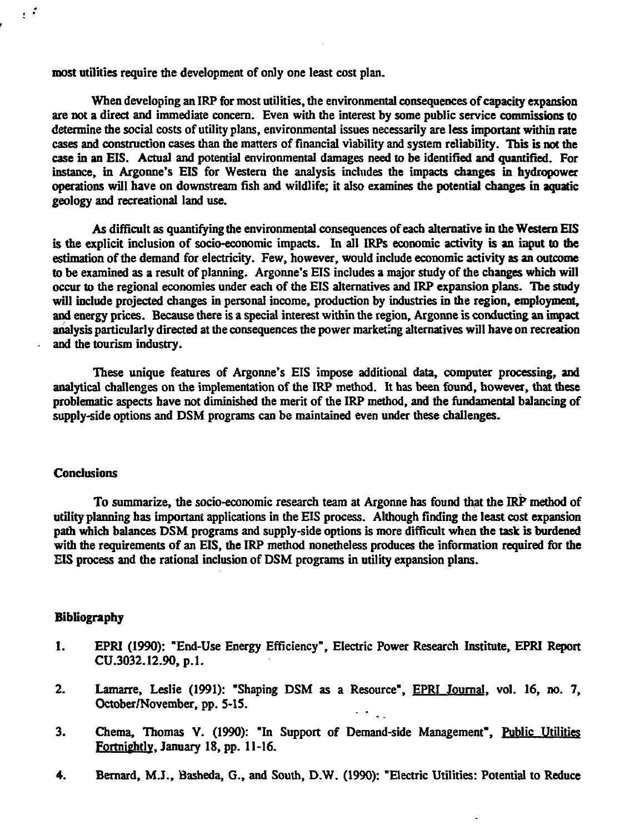**most utilities require the development of only one least cost plan.**

**When developing an IRP for most utilities, the environmental consequences of capacity expansion are not a direct and immediate concern. Even with the interest by some public service commissions to determine the social costs of utility plans, environmental issues necessarily are less important within rate cases and construction cases than the matters of financial viability and system reliability. This is not the case in an EIS. Actual and potential environmental damages need to be identified and quantified. For instance, in Argonne's EIS for Western the analysis includes the impacts changes in hydropower operations will have on downstream fish and wildlife; it also examines the potential changes in aquatic geology and recreational land use.**

**As difficult as quantifying the environmental consequences of each alternative in the Western EIS is die explicit inclusion of socio-economic impacts. In all IRPs economic activity is an input to the estimation of the demand for electricity. Few, however, would include economic activity as an outcome to be examined as a result of planning. Argonne's EIS includes a major study of the changes which will occur to the regional economies under each of the EIS alternatives and IRP expansion plans. The study will include projected changes in personal income, production by industries in the region, employment, and energy prices. Because there is a special interest within the region, Argonne is conducting an impact analysis particularly directed at the consequences the power marketing alternatives will have on recreation and the tourism industry.**

**These unique features of Argonne's EIS impose additional data, computer processing, and analytical challenges on the implementation of the IRP method. It has been found, however, that these problematic aspects have not diminished the merit of the IRP method, and the fundamental balancing of supply-side options and DSM programs can be maintained even under these challenges.**

#### **Conclusions**

 $\frac{1}{3}$  .  $\frac{1}{3}$ 

**To summarize, the socio-economic research team at Argonne has found that the IRP method of utility planning has important applications in the EIS process. Although finding the least cost expansion path which balances DSM programs and supply-side options is more difficult when the task is burdened with the requirements of an EIS, the IRP method nonetheless produces the information required for the EIS process and the rational inclusion of DSM programs in utility expansion plans.**

#### **Bibliography**

- **1. EPRI (1990): "End-Use Energy Efficiency", Electric Power Research Institute, EPRI Report CU.3032.12.90, p.l.**
- **2. Lamarre, Leslie (1991): "Shaping DSM as a Resource", EPRI Journal, vol. 16, no. 7, October/November, pp. 5-15.**
- **3. Chema, Thomas V. (1990): "In Support of Demand-side Management", Public Utilities Fortnightly. January 18, pp. 11-16.**
- **4. Bernard, M.J., Basheda, G., and South, D.W. (1990): "Electric Utilities: Potential to Reduce**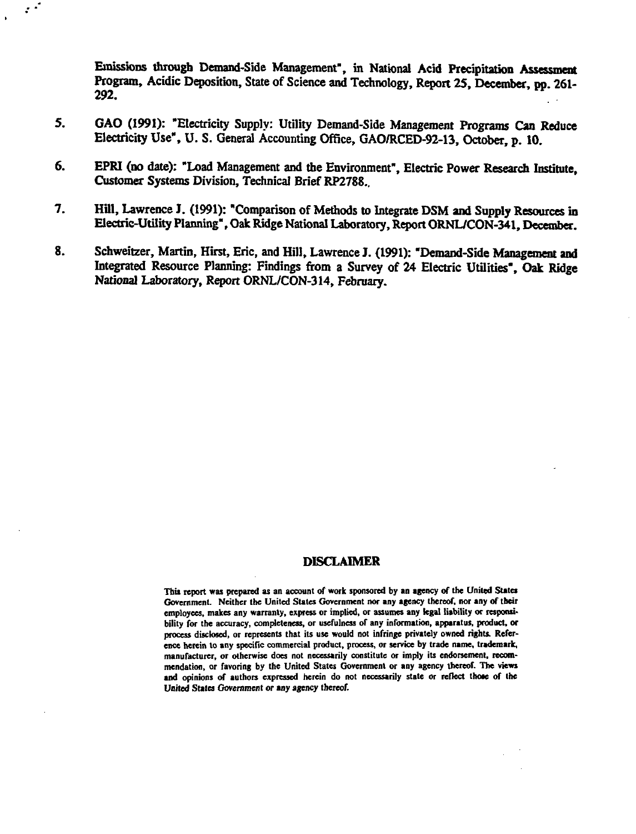**Emissions through Demand-Side Management", in National Acid Precipitation Assessment Program, Acidic Deposition, State of Science and Technology, Report 25, December, pp. 261- 292.**

**5. GAO (1991): "Electricity Supply: Utility Demand-Side Management Programs Can Reduce Electricity Use", U. S. General Accounting Office, GAO/RCED-92-13, October, p. 10.**

 $\mathcal{L}^{\mathcal{L}}$ 

- **6. EPRI (no date): "Load Management and the Environment", Electric Power Research Institute, Customer Systems Division, Technical Brief RP2788..**
- **7. Hill, Lawrence J. (1991): "Comparison of Methods to Integrate DSM and Supply Resources in Electric-Utility Planning", Oak Ridge National Laboratory, Report ORNL/CON-341, December.**
- **8. Schweitzer, Martin, Hirst, Eric, and Hill, Lawrence J. (1991): "Demand-Side Management and Integrated Resource Planning: Findings from a Survey of 24 Electric Utilities", Oak Ridge National Laboratory, Report ORNL/CON-314, February.**

#### **DISCLAIMER**

**This report was prepared as an account of work sponsored by an agency of the United States Government. Neither the United States Government nor any agency thereof, nor any of their employees, makes any warranty, express or implied, or assumes any legal liability or responsibility for the accuracy, completeness, or usefulness of any information, apparatus, product, or process disclosed, or represents that its use would not infringe privately owned rights. Reference herein to any specific commercial product, process, or service by trade name, trademark, manufacturer, or otherwise does not necessarily constitute or imply its endorsement, recommendation, or favoring by the United States Government or any agency thereof. The views** and opinions of authors expressed herein do not necessarily state or reflect those of the **United States Government or any agency thereof.**